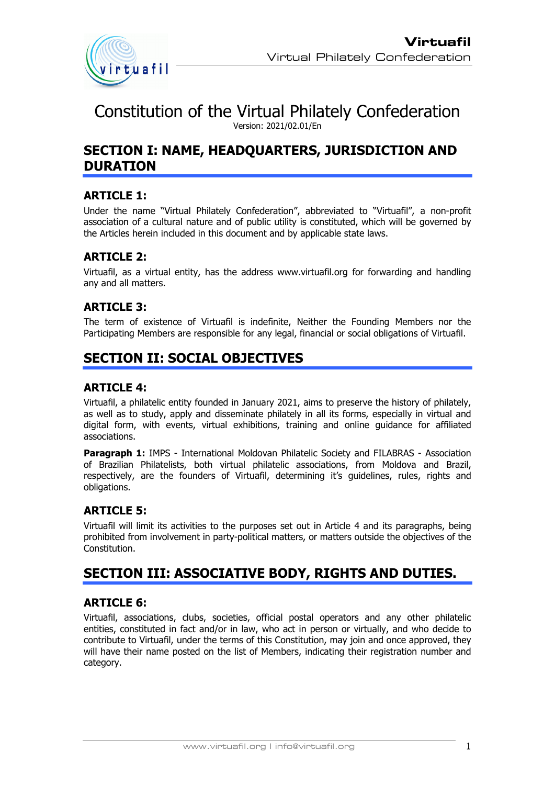

Constitution of the Virtual Philately Confederation Version: 2021/02.01/En

# **SECTION I: NAME, HEADQUARTERS, JURISDICTION AND DURATION**

## **ARTICLE 1:**

Under the name "Virtual Philately Confederation", abbreviated to "Virtuafil", a non-profit association of a cultural nature and of public utility is constituted, which will be governed by the Articles herein included in this document and by applicable state laws.

## **ARTICLE 2:**

Virtuafil, as a virtual entity, has the address www.virtuafil.org for forwarding and handling any and all matters.

## **ARTICLE 3:**

The term of existence of Virtuafil is indefinite, Neither the Founding Members nor the Participating Members are responsible for any legal, financial or social obligations of Virtuafil.

# **SECTION II: SOCIAL OBJECTIVES**

#### **ARTICLE 4:**

Virtuafil, a philatelic entity founded in January 2021, aims to preserve the history of philately, as well as to study, apply and disseminate philately in all its forms, especially in virtual and digital form, with events, virtual exhibitions, training and online guidance for affiliated associations.

**Paragraph 1:** IMPS - International Moldovan Philatelic Society and FILABRAS - Association of Brazilian Philatelists, both virtual philatelic associations, from Moldova and Brazil, respectively, are the founders of Virtuafil, determining it's guidelines, rules, rights and obligations.

#### **ARTICLE 5:**

Virtuafil will limit its activities to the purposes set out in Article 4 and its paragraphs, being prohibited from involvement in party-political matters, or matters outside the objectives of the Constitution.

# **SECTION III: ASSOCIATIVE BODY, RIGHTS AND DUTIES.**

## **ARTICLE 6:**

Virtuafil, associations, clubs, societies, official postal operators and any other philatelic entities, constituted in fact and/or in law, who act in person or virtually, and who decide to contribute to Virtuafil, under the terms of this Constitution, may join and once approved, they will have their name posted on the list of Members, indicating their registration number and category.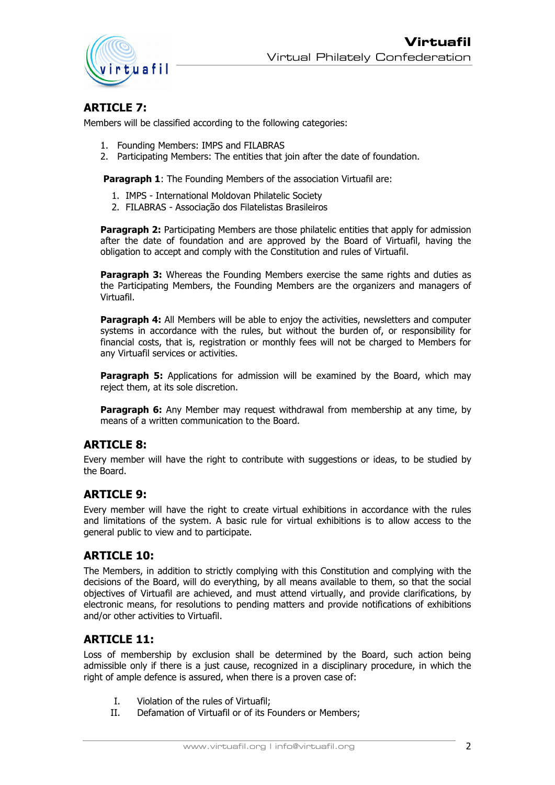

#### **ARTICLE 7:**

Members will be classified according to the following categories:

- 1. Founding Members: IMPS and FILABRAS
- 2. Participating Members: The entities that join after the date of foundation.

**Paragraph 1:** The Founding Members of the association Virtuafil are:

- 1. IMPS International Moldovan Philatelic Society
- 2. FILABRAS Associação dos Filatelistas Brasileiros

**Paragraph 2:** Participating Members are those philatelic entities that apply for admission after the date of foundation and are approved by the Board of Virtuafil, having the obligation to accept and comply with the Constitution and rules of Virtuafil.

**Paragraph 3:** Whereas the Founding Members exercise the same rights and duties as the Participating Members, the Founding Members are the organizers and managers of Virtuafil.

**Paragraph 4:** All Members will be able to enjoy the activities, newsletters and computer systems in accordance with the rules, but without the burden of, or responsibility for financial costs, that is, registration or monthly fees will not be charged to Members for any Virtuafil services or activities.

**Paragraph 5:** Applications for admission will be examined by the Board, which may reject them, at its sole discretion.

**Paragraph 6:** Any Member may request withdrawal from membership at any time, by means of a written communication to the Board.

#### **ARTICLE 8:**

Every member will have the right to contribute with suggestions or ideas, to be studied by the Board.

#### **ARTICLE 9:**

Every member will have the right to create virtual exhibitions in accordance with the rules and limitations of the system. A basic rule for virtual exhibitions is to allow access to the general public to view and to participate.

## **ARTICLE 10:**

The Members, in addition to strictly complying with this Constitution and complying with the decisions of the Board, will do everything, by all means available to them, so that the social objectives of Virtuafil are achieved, and must attend virtually, and provide clarifications, by electronic means, for resolutions to pending matters and provide notifications of exhibitions and/or other activities to Virtuafil.

#### **ARTICLE 11:**

Loss of membership by exclusion shall be determined by the Board, such action being admissible only if there is a just cause, recognized in a disciplinary procedure, in which the right of ample defence is assured, when there is a proven case of:

- I. Violation of the rules of Virtuafil;
- II. Defamation of Virtuafil or of its Founders or Members;